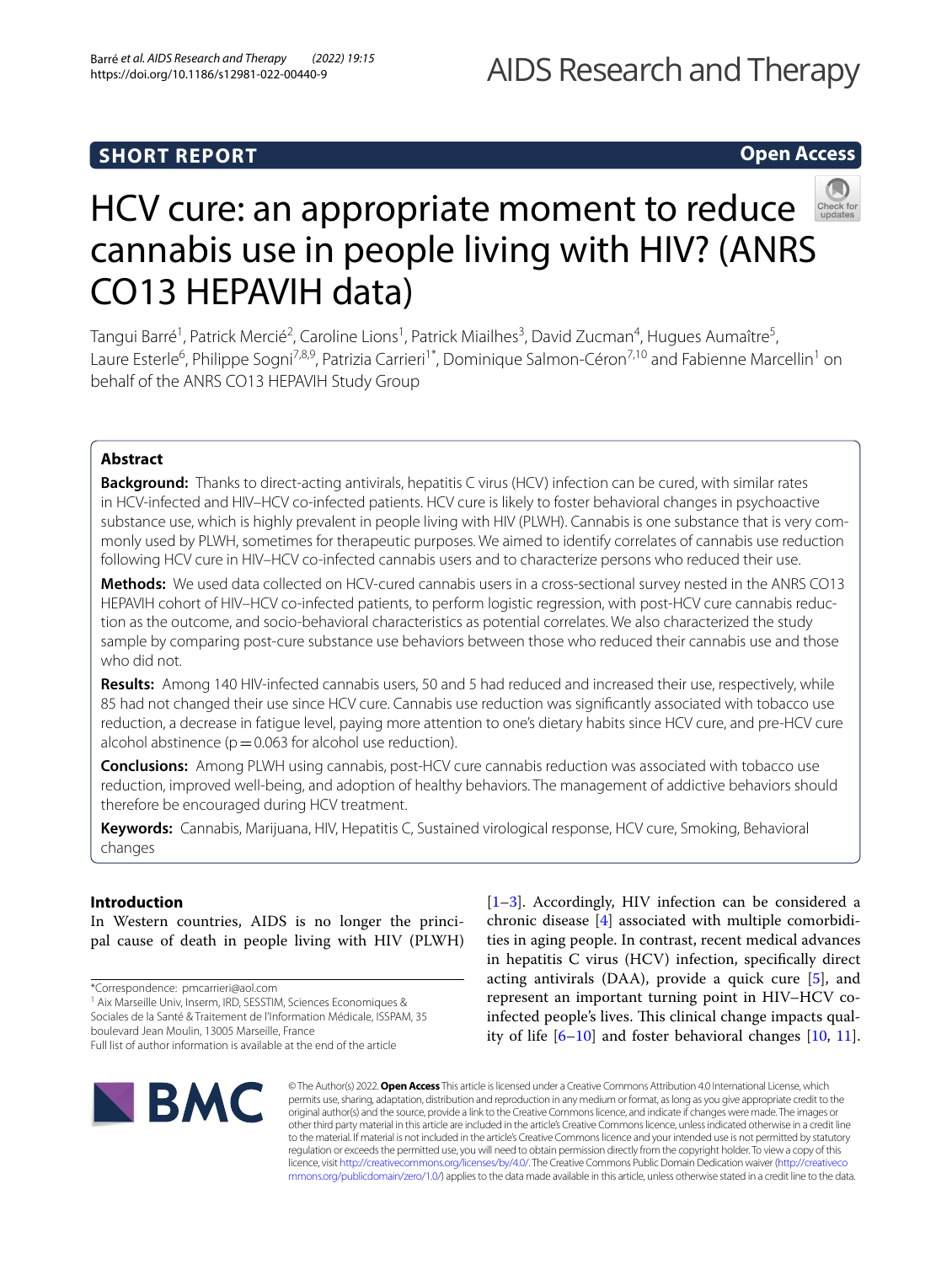# **SHORT REPORT**

# **Open Access**



# HCV cure: an appropriate moment to reduce cannabis use in people living with HIV? (ANRS CO13 HEPAVIH data)

Tangui Barré<sup>1</sup>, Patrick Mercié<sup>2</sup>, Caroline Lions<sup>1</sup>, Patrick Miailhes<sup>3</sup>, David Zucman<sup>4</sup>, Hugues Aumaître<sup>5</sup>, Laure Esterle<sup>6</sup>, Philippe Sogni<sup>7,8,9</sup>, Patrizia Carrieri<sup>1\*</sup>, Dominique Salmon-Céron<sup>7,10</sup> and Fabienne Marcellin<sup>1</sup> on behalf of the ANRS CO13 HEPAVIH Study Group

# **Abstract**

**Background:** Thanks to direct-acting antivirals, hepatitis C virus (HCV) infection can be cured, with similar rates in HCV-infected and HIV–HCV co-infected patients. HCV cure is likely to foster behavioral changes in psychoactive substance use, which is highly prevalent in people living with HIV (PLWH). Cannabis is one substance that is very commonly used by PLWH, sometimes for therapeutic purposes. We aimed to identify correlates of cannabis use reduction following HCV cure in HIV–HCV co-infected cannabis users and to characterize persons who reduced their use.

**Methods:** We used data collected on HCV-cured cannabis users in a cross-sectional survey nested in the ANRS CO13 HEPAVIH cohort of HIV–HCV co-infected patients, to perform logistic regression, with post-HCV cure cannabis reduc‑ tion as the outcome, and socio-behavioral characteristics as potential correlates. We also characterized the study sample by comparing post-cure substance use behaviors between those who reduced their cannabis use and those who did not.

**Results:** Among 140 HIV-infected cannabis users, 50 and 5 had reduced and increased their use, respectively, while 85 had not changed their use since HCV cure. Cannabis use reduction was signifcantly associated with tobacco use reduction, a decrease in fatigue level, paying more attention to one's dietary habits since HCV cure, and pre-HCV cure alcohol abstinence ( $p=0.063$  for alcohol use reduction).

**Conclusions:** Among PLWH using cannabis, post-HCV cure cannabis reduction was associated with tobacco use reduction, improved well-being, and adoption of healthy behaviors. The management of addictive behaviors should therefore be encouraged during HCV treatment.

**Keywords:** Cannabis, Marijuana, HIV, Hepatitis C, Sustained virological response, HCV cure, Smoking, Behavioral changes

# **Introduction**

In Western countries, AIDS is no longer the principal cause of death in people living with HIV (PLWH)

\*Correspondence: pmcarrieri@aol.com

<sup>1</sup> Aix Marseille Univ, Inserm, IRD, SESSTIM, Sciences Economiques & Sociales de la Santé & Traitement de l'Information Médicale, ISSPAM, 35

boulevard Jean Moulin, 13005 Marseille, France

Full list of author information is available at the end of the article



[[1–](#page-6-0)[3\]](#page-6-1). Accordingly, HIV infection can be considered a chronic disease [[4](#page-6-2)] associated with multiple comorbidities in aging people. In contrast, recent medical advances in hepatitis C virus (HCV) infection, specifcally direct acting antivirals (DAA), provide a quick cure [\[5](#page-6-3)], and represent an important turning point in HIV–HCV coinfected people's lives. This clinical change impacts quality of life  $[6-10]$  $[6-10]$  and foster behavioral changes  $[10, 11]$  $[10, 11]$  $[10, 11]$  $[10, 11]$  $[10, 11]$ .

© The Author(s) 2022. **Open Access** This article is licensed under a Creative Commons Attribution 4.0 International License, which permits use, sharing, adaptation, distribution and reproduction in any medium or format, as long as you give appropriate credit to the original author(s) and the source, provide a link to the Creative Commons licence, and indicate if changes were made. The images or other third party material in this article are included in the article's Creative Commons licence, unless indicated otherwise in a credit line to the material. If material is not included in the article's Creative Commons licence and your intended use is not permitted by statutory regulation or exceeds the permitted use, you will need to obtain permission directly from the copyright holder. To view a copy of this licence, visit [http://creativecommons.org/licenses/by/4.0/.](http://creativecommons.org/licenses/by/4.0/) The Creative Commons Public Domain Dedication waiver ([http://creativeco](http://creativecommons.org/publicdomain/zero/1.0/) [mmons.org/publicdomain/zero/1.0/](http://creativecommons.org/publicdomain/zero/1.0/)) applies to the data made available in this article, unless otherwise stated in a credit line to the data.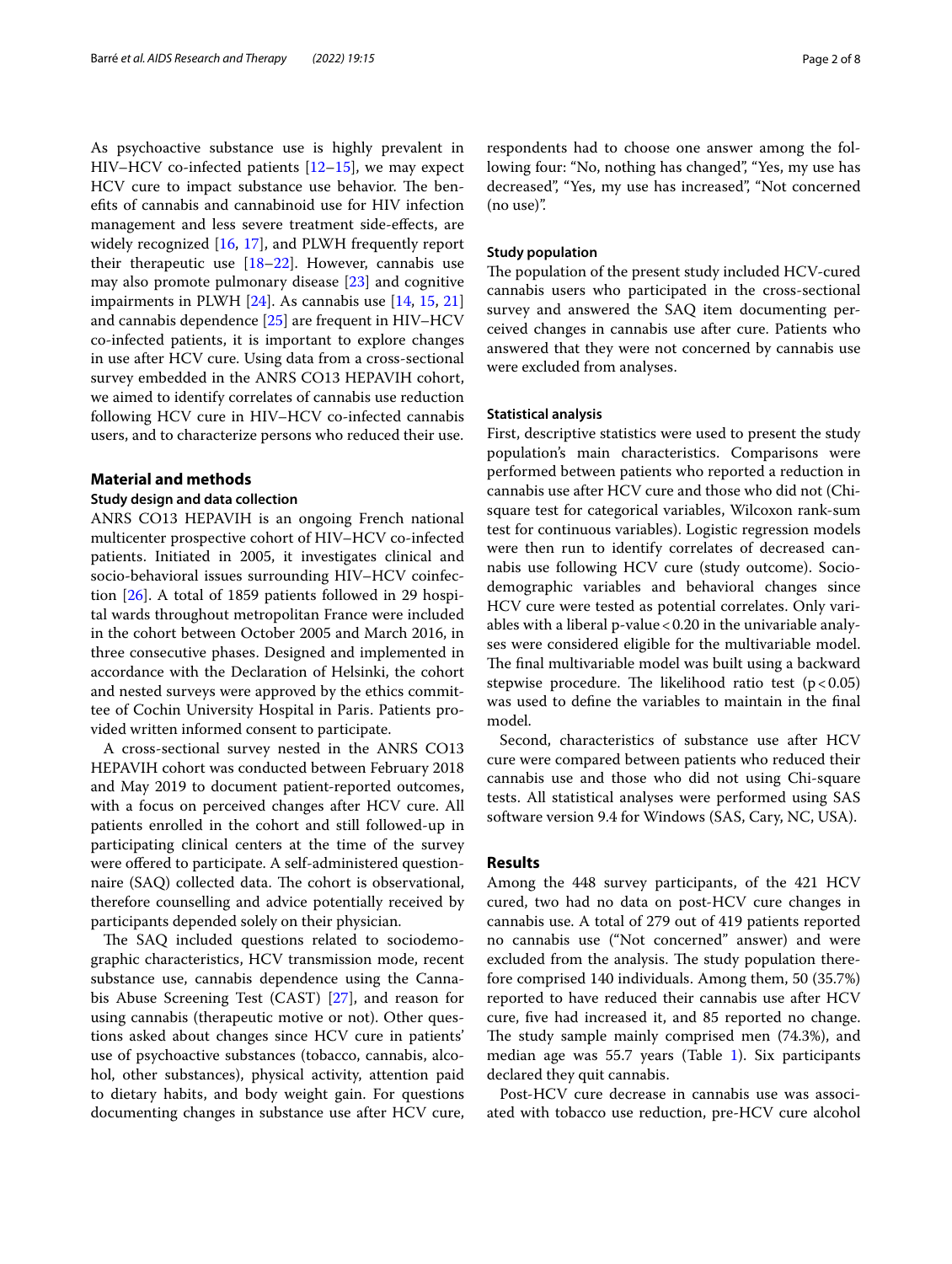As psychoactive substance use is highly prevalent in HIV–HCV co-infected patients  $[12–15]$  $[12–15]$  $[12–15]$ , we may expect HCV cure to impact substance use behavior. The benefts of cannabis and cannabinoid use for HIV infection management and less severe treatment side-efects, are widely recognized [\[16](#page-7-0), [17](#page-7-1)], and PLWH frequently report their therapeutic use  $[18-22]$  $[18-22]$  $[18-22]$ . However, cannabis use may also promote pulmonary disease [[23](#page-7-4)] and cognitive impairments in PLWH [[24\]](#page-7-5). As cannabis use [[14](#page-6-9), [15](#page-6-8), [21](#page-7-6)] and cannabis dependence [\[25](#page-7-7)] are frequent in HIV–HCV co-infected patients, it is important to explore changes in use after HCV cure. Using data from a cross-sectional survey embedded in the ANRS CO13 HEPAVIH cohort, we aimed to identify correlates of cannabis use reduction following HCV cure in HIV–HCV co-infected cannabis users, and to characterize persons who reduced their use.

# **Material and methods**

## **Study design and data collection**

ANRS CO13 HEPAVIH is an ongoing French national multicenter prospective cohort of HIV–HCV co-infected patients. Initiated in 2005, it investigates clinical and socio-behavioral issues surrounding HIV–HCV coinfection [[26\]](#page-7-8). A total of 1859 patients followed in 29 hospital wards throughout metropolitan France were included in the cohort between October 2005 and March 2016, in three consecutive phases. Designed and implemented in accordance with the Declaration of Helsinki, the cohort and nested surveys were approved by the ethics committee of Cochin University Hospital in Paris. Patients provided written informed consent to participate.

A cross-sectional survey nested in the ANRS CO13 HEPAVIH cohort was conducted between February 2018 and May 2019 to document patient-reported outcomes, with a focus on perceived changes after HCV cure. All patients enrolled in the cohort and still followed-up in participating clinical centers at the time of the survey were offered to participate. A self-administered questionnaire (SAQ) collected data. The cohort is observational, therefore counselling and advice potentially received by participants depended solely on their physician.

The SAQ included questions related to sociodemographic characteristics, HCV transmission mode, recent substance use, cannabis dependence using the Cannabis Abuse Screening Test (CAST) [\[27](#page-7-9)], and reason for using cannabis (therapeutic motive or not). Other questions asked about changes since HCV cure in patients' use of psychoactive substances (tobacco, cannabis, alcohol, other substances), physical activity, attention paid to dietary habits, and body weight gain. For questions documenting changes in substance use after HCV cure, respondents had to choose one answer among the following four: "No, nothing has changed", "Yes, my use has decreased", "Yes, my use has increased", "Not concerned (no use)".

## **Study population**

The population of the present study included HCV-cured cannabis users who participated in the cross-sectional survey and answered the SAQ item documenting perceived changes in cannabis use after cure. Patients who answered that they were not concerned by cannabis use were excluded from analyses.

# **Statistical analysis**

First, descriptive statistics were used to present the study population's main characteristics. Comparisons were performed between patients who reported a reduction in cannabis use after HCV cure and those who did not (Chisquare test for categorical variables, Wilcoxon rank-sum test for continuous variables). Logistic regression models were then run to identify correlates of decreased cannabis use following HCV cure (study outcome). Sociodemographic variables and behavioral changes since HCV cure were tested as potential correlates. Only variables with a liberal p-value  $< 0.20$  in the univariable analyses were considered eligible for the multivariable model. The final multivariable model was built using a backward stepwise procedure. The likelihood ratio test  $(p<0.05)$ was used to defne the variables to maintain in the fnal model.

Second, characteristics of substance use after HCV cure were compared between patients who reduced their cannabis use and those who did not using Chi-square tests. All statistical analyses were performed using SAS software version 9.4 for Windows (SAS, Cary, NC, USA).

## **Results**

Among the 448 survey participants, of the 421 HCV cured, two had no data on post-HCV cure changes in cannabis use. A total of 279 out of 419 patients reported no cannabis use ("Not concerned" answer) and were excluded from the analysis. The study population therefore comprised 140 individuals. Among them, 50 (35.7%) reported to have reduced their cannabis use after HCV cure, fve had increased it, and 85 reported no change. The study sample mainly comprised men (74.3%), and median age was 55.7 years (Table [1\)](#page-2-0). Six participants declared they quit cannabis.

Post-HCV cure decrease in cannabis use was associated with tobacco use reduction, pre-HCV cure alcohol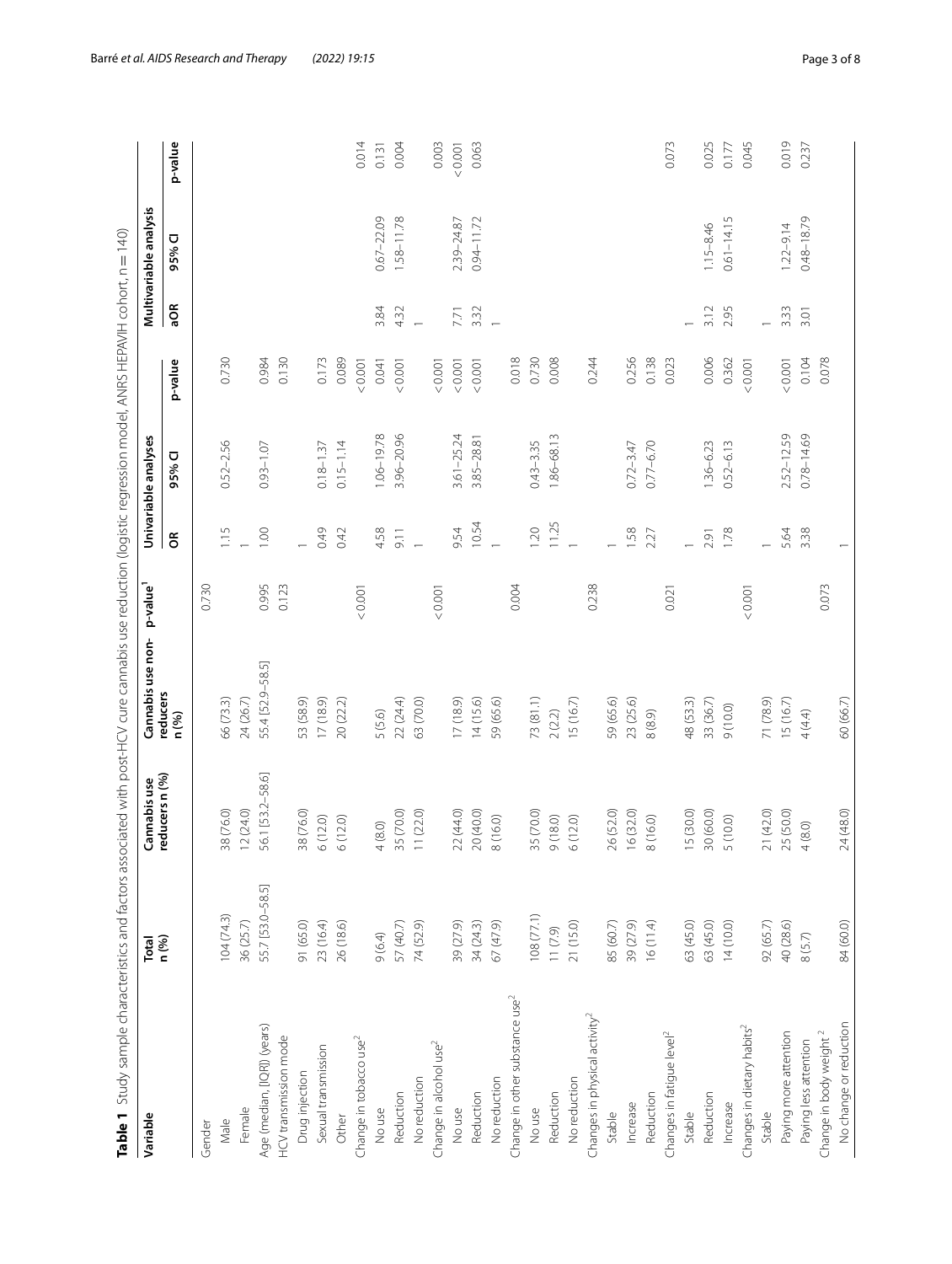<span id="page-2-0"></span>

| Variable                                   | Total<br>n(%)    | Cannabis use<br>reducers n (%) | Cannabis use non- | p-value <sup>1</sup> |       | Univariable analyses |         |      | Multivariable analysis |         |
|--------------------------------------------|------------------|--------------------------------|-------------------|----------------------|-------|----------------------|---------|------|------------------------|---------|
|                                            |                  |                                | reducers<br>n (%) |                      | g     | 95% CI               | p-value | ąΟR  | 95% CI                 | p-value |
| Gender                                     |                  |                                |                   | 0.730                |       |                      |         |      |                        |         |
| Male                                       | 104(743)         | 38 (76.0)                      | 66 (73.3)         |                      | 1.15  | $0.52 - 2.56$        | 0.730   |      |                        |         |
| Female                                     | 36 (25.7)        | 12(24.0)                       | 24 (26.7)         |                      |       |                      |         |      |                        |         |
| Age (median, [IQR]) (years)                | 55.7 [53.0-58.5] | 56.1 [53.2-58.6]               | 55.4 [52.9-58.5]  | 0.995                | 1.00  | $0.93 - 1.07$        | 0.984   |      |                        |         |
| HCV transmission mode                      |                  |                                |                   | 0.123                |       |                      | 0.130   |      |                        |         |
| Drug injection                             | 91 (65.0)        | 38 (76.0)                      | 53 (58.9)         |                      |       |                      |         |      |                        |         |
| Sexual transmission                        | 23 (16.4)        | 6(12.0)                        | 17(18.9)          |                      | 0.49  | $0.18 - 1.37$        | 0.173   |      |                        |         |
| Other                                      | 26 (18.6)        | 6(12.0)                        | 20 (22.2)         |                      | 0.42  | $0.15 - 1.14$        | 0.089   |      |                        |         |
| Change in tobacco use <sup>2</sup>         |                  |                                |                   | 0.001                |       |                      | < 0.001 |      |                        | 0.014   |
| No use                                     | 9(6.4)           | 4(8.0)                         | 5(5.6)            |                      | 4.58  | 1.06-19.78           | 0.041   | 3.84 | $0.67 - 22.09$         | 0.131   |
| Reduction                                  | 57 (40.7)        | 35 (70.0)                      | 22 (24.4)         |                      | 9.11  | 3.96-20.96           | 0.001   | 4.32 | 1.58-11.78             | 0.004   |
| No reduction                               | 74 (52.9)        | 11(22.0)                       | 63 (70.0)         |                      |       |                      |         |      |                        |         |
| Change in alcohol use <sup>2</sup>         |                  |                                |                   | 0.001                |       |                      | < 0.001 |      |                        | 0.003   |
| No use                                     | 39 (27.9)        | 22 (44.0)                      | 17(18.9)          |                      | 9.54  | $3.61 - 25.24$       | < 0.001 | 7.71 | 2.39-24.87             | 0.001   |
| Reduction                                  | 34 (24.3)        | 20 (40.0)                      | 14 (15.6)         |                      | 10.54 | 3.85-28.81           | < 0.001 | 3.32 | $0.94 - 11.72$         | 0.063   |
| No reduction                               | 67 (47.9)        | 8 (16.0)                       | 59 (65.6)         |                      |       |                      |         |      |                        |         |
| Change in other substance use <sup>2</sup> |                  |                                |                   | 0.004                |       |                      | 0.018   |      |                        |         |
| No use                                     | 108(77.1)        | 35 (70.0)                      | 73 (81.1)         |                      | 1.20  | $0.43 - 3.35$        | 0.730   |      |                        |         |
| Reduction                                  | 11(7.9)          | 9(18.0)                        | 2(2.2)            |                      | 11.25 | 1.86-68.13           | 0.008   |      |                        |         |
| No reduction                               | 21 (15.0)        | 6(12.0)                        | 15 (16.7)         |                      |       |                      |         |      |                        |         |
| Changes in physical activity <sup>2</sup>  |                  |                                |                   | 0.238                |       |                      | 0.244   |      |                        |         |
| Stable                                     | 85 (60.7)        | 26 (52.0)                      | 59 (65.6)         |                      |       |                      |         |      |                        |         |
| Increase                                   | 39 (27.9)        | 16 (32.0)                      | 23 (25.6)         |                      | 1.58  | $0.72 - 3.47$        | 0.256   |      |                        |         |
| Reduction                                  | 16(11.4)         | 8 (16.0)                       | 8(8.9)            |                      | 2.27  | $0.77 - 6.70$        | 0.138   |      |                        |         |
| Changes in fatigue level <sup>2</sup>      |                  |                                |                   | 0.021                |       |                      | 0.023   |      |                        | 0.073   |
| Stable                                     | 63 (45.0)        | 15 (30.0)                      | 48 (53.3)         |                      |       |                      |         |      |                        |         |
| Reduction                                  | 63 (45.0)        | 30 (60.0)                      | 33 (36.7)         |                      | 2.91  | 1.36-6.23            | 0.006   | 3.12 | 1.15-8.46              | 0.025   |
| Increase                                   | 14 (10.0)        | 5 (10.0)                       | (0.016)           |                      | 1.78  | $0.52 - 6.13$        | 0.362   | 2.95 | $0.61 - 14.15$         | 0.177   |
| Changes in dietary habits <sup>2</sup>     |                  |                                |                   | 0.001                |       |                      | < 0.001 |      |                        | 0.045   |
| Stable                                     | 92 (65.7)        | 21(42.0)                       | 71 (78.9)         |                      |       |                      |         |      |                        |         |
| Paying more attention                      | 40 (28.6)        | 25 (50.0)                      | 15 (16.7)         |                      | 5.64  | 2.52-12.59           | 0.001   | 3.33 | $1.22 - 9.14$          | 0.019   |
| Paying less attention                      | 8(5.7)           | 4(8.0)                         | $4(4.4)$          |                      | 3.38  | $0.78 - 14.69$       | 0.104   | 3.01 | 0.48-18.79             | 0.237   |
| Change in body weight <sup>2</sup>         |                  |                                |                   | 0.073                |       |                      | 0.078   |      |                        |         |
| No change or reduction                     | 84 (60.0)        | 24 (48.0)                      | 60 (66.7)         |                      |       |                      |         |      |                        |         |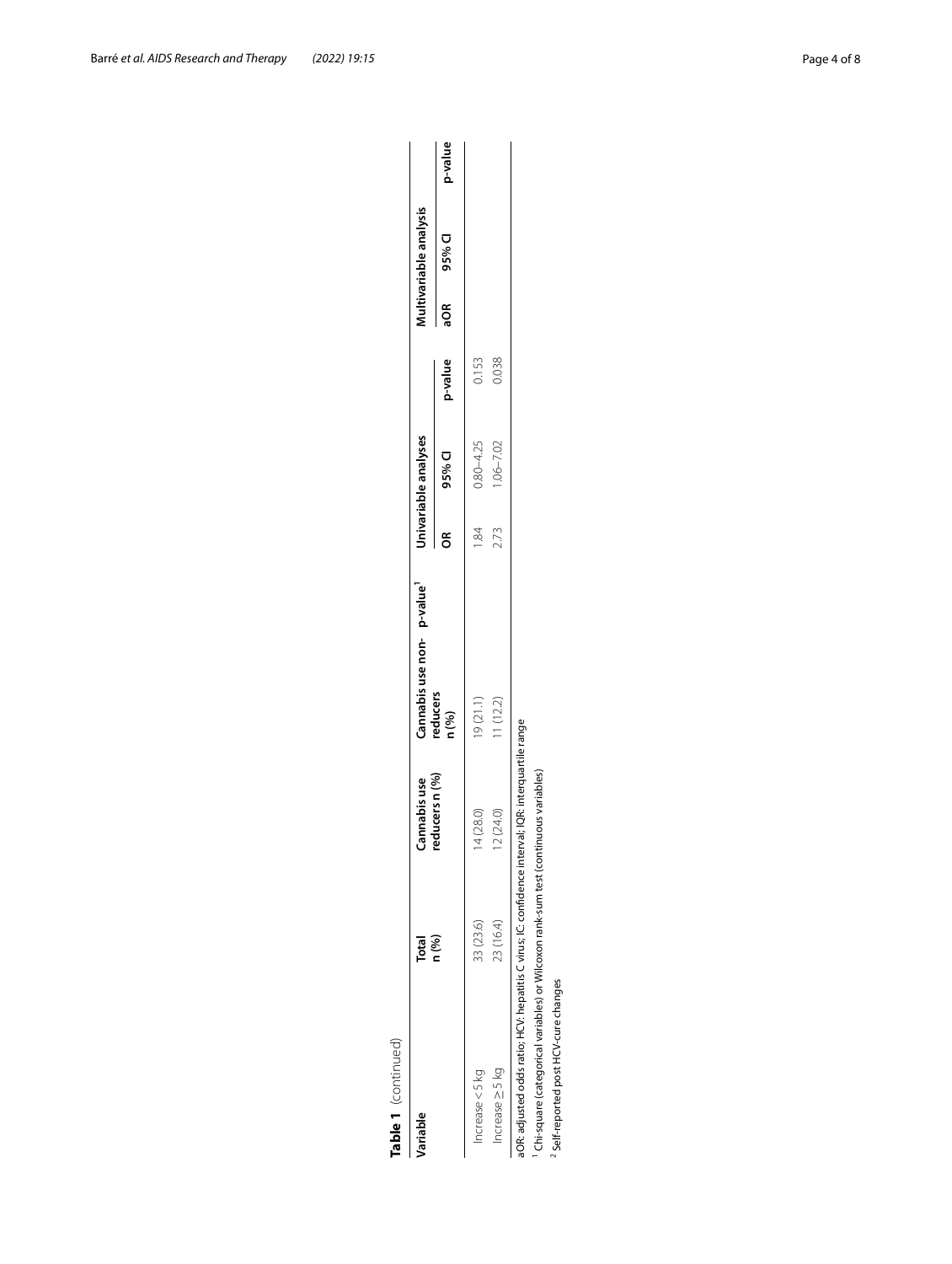| Table 1 (continued)<br>Variable                                                                     | Total     | Cannabis use   | Cannabis use non-p-value |     | Univariable analyses |         | Multivariable analysis |         |
|-----------------------------------------------------------------------------------------------------|-----------|----------------|--------------------------|-----|----------------------|---------|------------------------|---------|
|                                                                                                     | n (%)     | reducers n (%) | reducers                 |     |                      |         |                        |         |
|                                                                                                     |           |                | n (%)                    | g   | 95% CI               | p-value | aOR 95% CI             | p-value |
| $nc$ rease < 5 kg                                                                                   | 33 (23.6) | 14(28.0)       | 19(21.1)                 | 184 | $0.80 - 4.25$        | 0.153   |                        |         |
| $r$ crease $\geq$ 5 kg                                                                              | 23 (16.4) | 12(24.0)       | 11(12.2)                 | 273 | $1.06 - 7.02$        | 0.038   |                        |         |
| aOR: adjusted odds ratio; HCV: hepatitis C virus; IC: confidence interval; IQR: interquartile range |           |                |                          |     |                      |         |                        |         |
| Chi-square (categorical variables) or Wilcoxon rank-sum test (continuous variables)                 |           |                |                          |     |                      |         |                        |         |
| <sup>2</sup> Self-reported post HCV-cure changes                                                    |           |                |                          |     |                      |         |                        |         |

Table 1 (continued)

p-value

<sup>2</sup> Self-reported post HCV-cure changes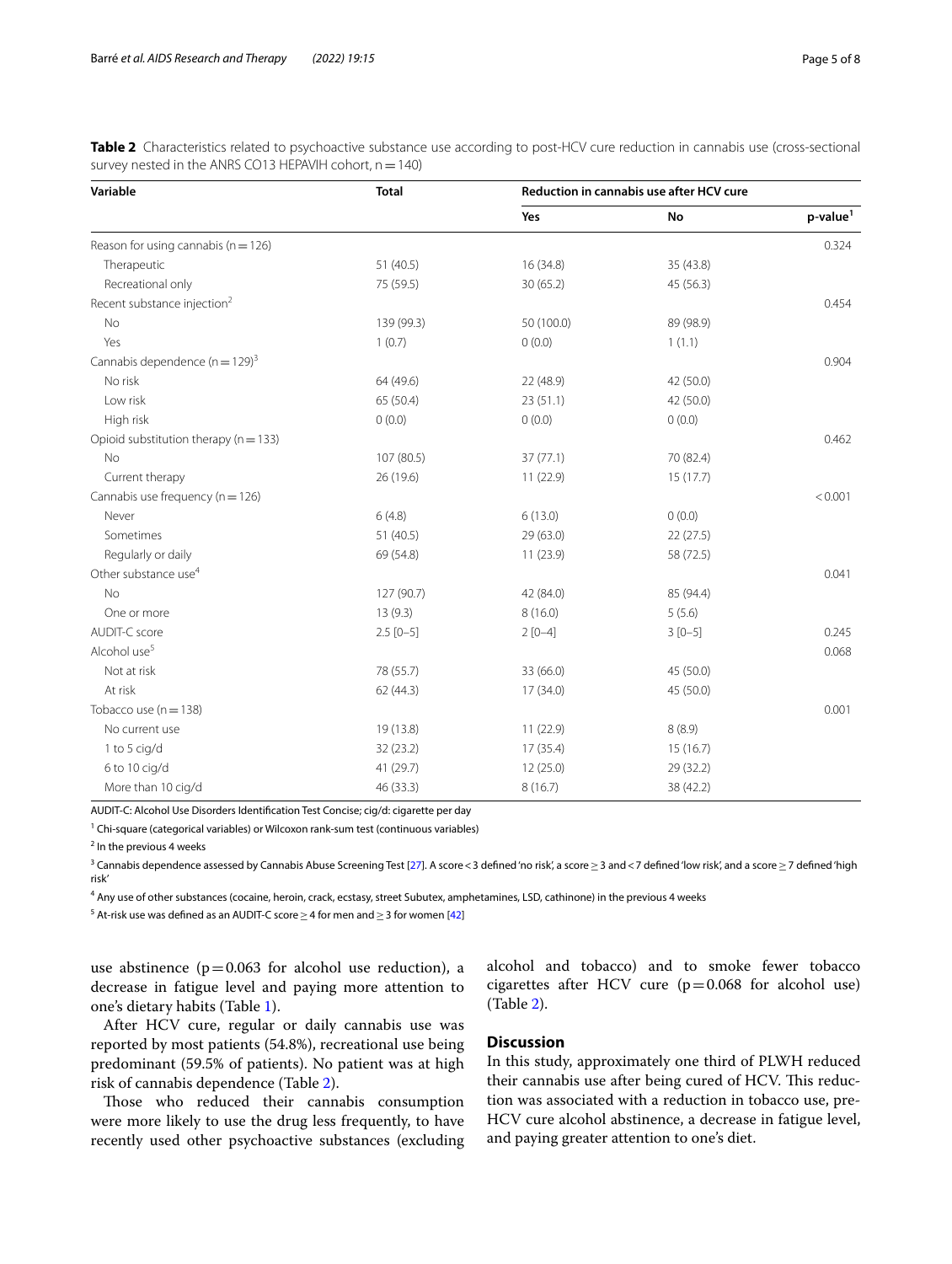| Variable                                  | <b>Total</b> |            | Reduction in cannabis use after HCV cure |                      |
|-------------------------------------------|--------------|------------|------------------------------------------|----------------------|
|                                           |              | Yes        | No                                       | p-value <sup>1</sup> |
| Reason for using cannabis ( $n = 126$ )   |              |            |                                          | 0.324                |
| Therapeutic                               | 51(40.5)     | 16 (34.8)  | 35 (43.8)                                |                      |
| Recreational only                         | 75 (59.5)    | 30(65.2)   | 45 (56.3)                                |                      |
| Recent substance injection <sup>2</sup>   |              |            |                                          | 0.454                |
| <b>No</b>                                 | 139 (99.3)   | 50 (100.0) | 89 (98.9)                                |                      |
| Yes                                       | 1(0.7)       | 0(0.0)     | 1(1.1)                                   |                      |
| Cannabis dependence $(n = 129)^3$         |              |            |                                          | 0.904                |
| No risk                                   | 64 (49.6)    | 22 (48.9)  | 42 (50.0)                                |                      |
| Low risk                                  | 65 (50.4)    | 23(51.1)   | 42 (50.0)                                |                      |
| High risk                                 | 0(0.0)       | 0(0.0)     | 0(0.0)                                   |                      |
| Opioid substitution therapy ( $n = 133$ ) |              |            |                                          | 0.462                |
| <b>No</b>                                 | 107 (80.5)   | 37(77.1)   | 70 (82.4)                                |                      |
| Current therapy                           | 26 (19.6)    | 11(22.9)   | 15(17.7)                                 |                      |
| Cannabis use frequency (n = 126)          |              |            |                                          | < 0.001              |
| Never                                     | 6(4.8)       | 6(13.0)    | 0(0.0)                                   |                      |
| Sometimes                                 | 51(40.5)     | 29(63.0)   | 22(27.5)                                 |                      |
| Regularly or daily                        | 69 (54.8)    | 11(23.9)   | 58 (72.5)                                |                      |
| Other substance use <sup>4</sup>          |              |            |                                          | 0.041                |
| <b>No</b>                                 | 127 (90.7)   | 42 (84.0)  | 85 (94.4)                                |                      |
| One or more                               | 13(9.3)      | 8(16.0)    | 5(5.6)                                   |                      |
| AUDIT-C score                             | $2.5$ [0-5]  | $2[0-4]$   | $3[0-5]$                                 | 0.245                |
| Alcohol use <sup>5</sup>                  |              |            |                                          | 0.068                |
| Not at risk                               | 78 (55.7)    | 33 (66.0)  | 45 (50.0)                                |                      |
| At risk                                   | 62 (44.3)    | 17 (34.0)  | 45 (50.0)                                |                      |
| Tobacco use ( $n = 138$ )                 |              |            |                                          | 0.001                |
| No current use                            | 19 (13.8)    | 11(22.9)   | 8(8.9)                                   |                      |
| 1 to 5 cig/d                              | 32 (23.2)    | 17(35.4)   | 15(16.7)                                 |                      |
| 6 to 10 cig/d                             | 41 (29.7)    | 12(25.0)   | 29 (32.2)                                |                      |
| More than 10 cig/d                        | 46 (33.3)    | 8(16.7)    | 38 (42.2)                                |                      |

<span id="page-4-0"></span>**Table 2** Characteristics related to psychoactive substance use according to post-HCV cure reduction in cannabis use (cross-sectional survey nested in the ANRS CO13 HEPAVIH cohort,  $n=140$ )

AUDIT-C: Alcohol Use Disorders Identifcation Test Concise; cig/d: cigarette per day

<sup>1</sup> Chi-square (categorical variables) or Wilcoxon rank-sum test (continuous variables)

<sup>2</sup> In the previous 4 weeks

 $^3$  Cannabis dependence assessed by Cannabis Abuse Screening Test [[27\]](#page-7-9). A score<3 defined 'no risk', a score $\geq$ 3 and<7 defined 'how risk', and a score $\geq$ 7 defined 'high risk'

4 Any use of other substances (cocaine, heroin, crack, ecstasy, street Subutex, amphetamines, LSD, cathinone) in the previous 4 weeks

 $^5$  At-risk use was defined as an AUDIT-C score $\geq$  4 for men and $\geq$  3 for women [[42\]](#page-7-10)

use abstinence ( $p=0.063$  for alcohol use reduction), a decrease in fatigue level and paying more attention to one's dietary habits (Table [1](#page-2-0)).

After HCV cure, regular or daily cannabis use was reported by most patients (54.8%), recreational use being predominant (59.5% of patients). No patient was at high risk of cannabis dependence (Table [2\)](#page-4-0).

Those who reduced their cannabis consumption were more likely to use the drug less frequently, to have recently used other psychoactive substances (excluding alcohol and tobacco) and to smoke fewer tobacco cigarettes after HCV cure  $(p=0.068$  for alcohol use) (Table [2\)](#page-4-0).

# **Discussion**

In this study, approximately one third of PLWH reduced their cannabis use after being cured of HCV. This reduction was associated with a reduction in tobacco use, pre-HCV cure alcohol abstinence, a decrease in fatigue level, and paying greater attention to one's diet.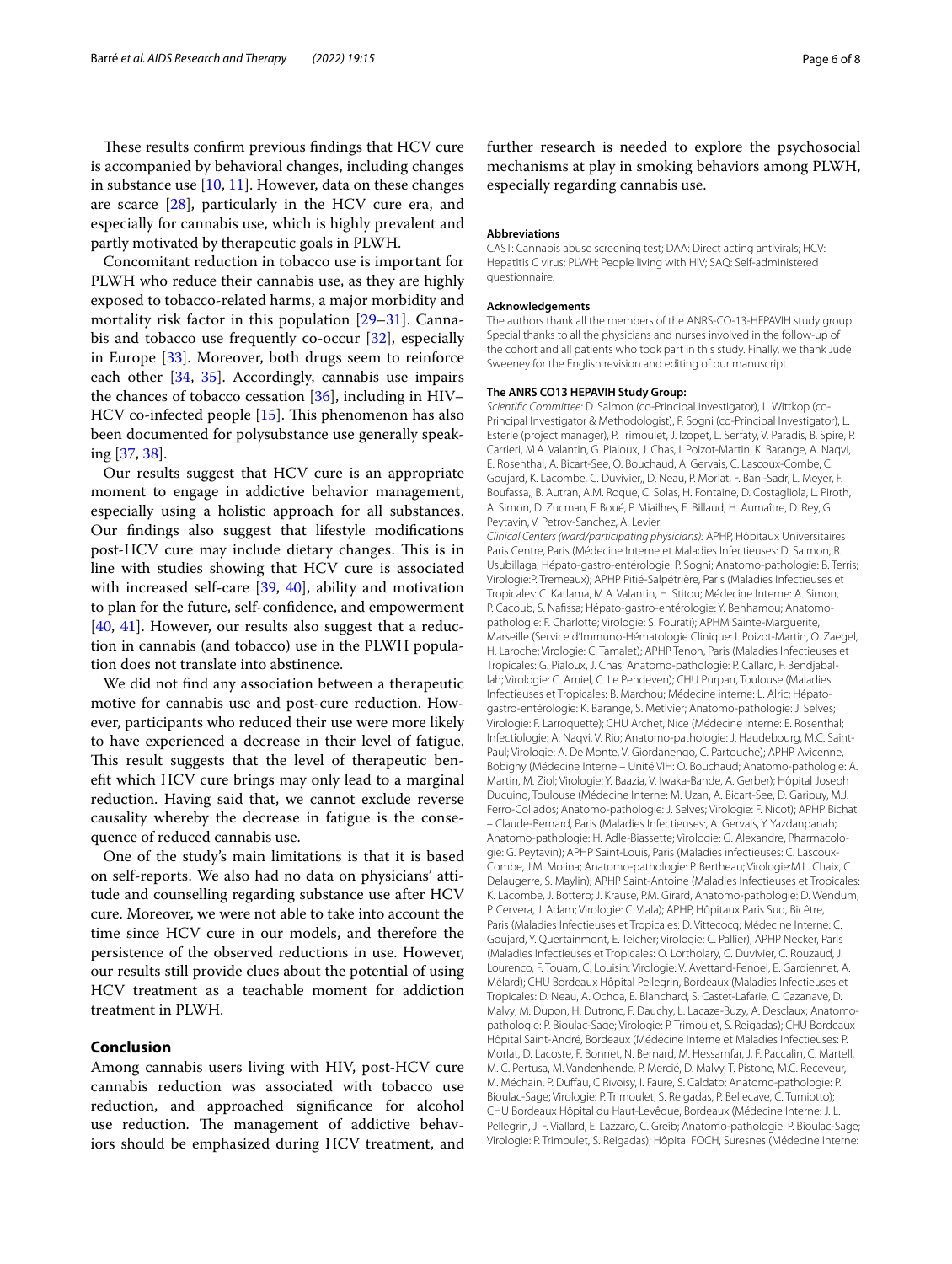Concomitant reduction in tobacco use is important for PLWH who reduce their cannabis use, as they are highly exposed to tobacco-related harms, a major morbidity and mortality risk factor in this population [[29–](#page-7-12)[31](#page-7-13)]. Cannabis and tobacco use frequently co-occur [\[32\]](#page-7-14), especially in Europe [\[33](#page-7-15)]. Moreover, both drugs seem to reinforce each other [\[34](#page-7-16), [35\]](#page-7-17). Accordingly, cannabis use impairs the chances of tobacco cessation [[36\]](#page-7-18), including in HIV– HCV co-infected people  $[15]$  $[15]$ . This phenomenon has also been documented for polysubstance use generally speaking [[37,](#page-7-19) [38](#page-7-20)].

Our results suggest that HCV cure is an appropriate moment to engage in addictive behavior management, especially using a holistic approach for all substances. Our fndings also suggest that lifestyle modifcations post-HCV cure may include dietary changes. This is in line with studies showing that HCV cure is associated with increased self-care [\[39,](#page-7-21) [40\]](#page-7-22), ability and motivation to plan for the future, self-confdence, and empowerment [[40,](#page-7-22) [41](#page-7-23)]. However, our results also suggest that a reduction in cannabis (and tobacco) use in the PLWH population does not translate into abstinence.

We did not fnd any association between a therapeutic motive for cannabis use and post-cure reduction. However, participants who reduced their use were more likely to have experienced a decrease in their level of fatigue. This result suggests that the level of therapeutic beneft which HCV cure brings may only lead to a marginal reduction. Having said that, we cannot exclude reverse causality whereby the decrease in fatigue is the consequence of reduced cannabis use.

One of the study's main limitations is that it is based on self-reports. We also had no data on physicians' attitude and counselling regarding substance use after HCV cure. Moreover, we were not able to take into account the time since HCV cure in our models, and therefore the persistence of the observed reductions in use. However, our results still provide clues about the potential of using HCV treatment as a teachable moment for addiction treatment in PLWH.

# **Conclusion**

Among cannabis users living with HIV, post-HCV cure cannabis reduction was associated with tobacco use reduction, and approached signifcance for alcohol use reduction. The management of addictive behaviors should be emphasized during HCV treatment, and further research is needed to explore the psychosocial mechanisms at play in smoking behaviors among PLWH, especially regarding cannabis use.

#### **Abbreviations**

CAST: Cannabis abuse screening test; DAA: Direct acting antivirals; HCV: Hepatitis C virus; PLWH: People living with HIV; SAQ: Self-administered questionnaire.

#### **Acknowledgements**

The authors thank all the members of the ANRS-CO-13-HEPAVIH study group. Special thanks to all the physicians and nurses involved in the follow-up of the cohort and all patients who took part in this study. Finally, we thank Jude Sweeney for the English revision and editing of our manuscript.

## **The ANRS CO13 HEPAVIH Study Group:**

*Scientifc Committee:* D. Salmon (co-Principal investigator), L. Wittkop (co-Principal Investigator & Methodologist), P. Sogni (co-Principal Investigator), L. Esterle (project manager), P. Trimoulet, J. Izopet, L. Serfaty, V. Paradis, B. Spire, P. Carrieri, M.A. Valantin, G. Pialoux, J. Chas, I. Poizot-Martin, K. Barange, A. Naqvi, E. Rosenthal, A. Bicart-See, O. Bouchaud, A. Gervais, C. Lascoux-Combe, C. Goujard, K. Lacombe, C. Duvivier,, D. Neau, P. Morlat, F. Bani-Sadr, L. Meyer, F. Boufassa,, B. Autran, A.M. Roque, C. Solas, H. Fontaine, D. Costagliola, L. Piroth, A. Simon, D. Zucman, F. Boué, P. Miailhes, E. Billaud, H. Aumaître, D. Rey, G. Peytavin, V. Petrov-Sanchez, A. Levier.

*Clinical Centers (ward/participating physicians):* APHP, Hôpitaux Universitaires Paris Centre, Paris (Médecine Interne et Maladies Infectieuses: D. Salmon, R. Usubillaga; Hépato-gastro-entérologie: P. Sogni; Anatomo-pathologie: B. Terris; Virologie:P. Tremeaux); APHP Pitié-Salpétrière, Paris (Maladies Infectieuses et Tropicales: C. Katlama, M.A. Valantin, H. Stitou; Médecine Interne: A. Simon, P. Cacoub, S. Nafssa; Hépato-gastro-entérologie: Y. Benhamou; Anatomopathologie: F. Charlotte; Virologie: S. Fourati); APHM Sainte-Marguerite, Marseille (Service d'Immuno-Hématologie Clinique: I. Poizot-Martin, O. Zaegel, H. Laroche; Virologie: C. Tamalet); APHP Tenon, Paris (Maladies Infectieuses et Tropicales: G. Pialoux, J. Chas; Anatomo-pathologie: P. Callard, F. Bendjaballah; Virologie: C. Amiel, C. Le Pendeven); CHU Purpan, Toulouse (Maladies Infectieuses et Tropicales: B. Marchou; Médecine interne: L. Alric; Hépatogastro-entérologie: K. Barange, S. Metivier; Anatomo-pathologie: J. Selves; Virologie: F. Larroquette); CHU Archet, Nice (Médecine Interne: E. Rosenthal; Infectiologie: A. Naqvi, V. Rio; Anatomo-pathologie: J. Haudebourg, M.C. Saint-Paul; Virologie: A. De Monte, V. Giordanengo, C. Partouche); APHP Avicenne, Bobigny (Médecine Interne – Unité VIH: O. Bouchaud; Anatomo-pathologie: A. Martin, M. Ziol; Virologie: Y. Baazia, V. Iwaka-Bande, A. Gerber); Hôpital Joseph Ducuing, Toulouse (Médecine Interne: M. Uzan, A. Bicart-See, D. Garipuy, M.J. Ferro-Collados; Anatomo-pathologie: J. Selves; Virologie: F. Nicot); APHP Bichat – Claude-Bernard, Paris (Maladies Infectieuses:, A. Gervais, Y. Yazdanpanah; Anatomo-pathologie: H. Adle-Biassette; Virologie: G. Alexandre, Pharmacologie: G. Peytavin); APHP Saint-Louis, Paris (Maladies infectieuses: C. Lascoux-Combe, J.M. Molina; Anatomo-pathologie: P. Bertheau; Virologie:M.L. Chaix, C. Delaugerre, S. Maylin); APHP Saint-Antoine (Maladies Infectieuses et Tropicales: K. Lacombe, J. Bottero; J. Krause, P.M. Girard, Anatomo-pathologie: D. Wendum, P. Cervera, J. Adam; Virologie: C. Viala); APHP, Hôpitaux Paris Sud, Bicêtre, Paris (Maladies Infectieuses et Tropicales: D. Vittecocq; Médecine Interne: C. Goujard, Y. Quertainmont, E. Teicher; Virologie: C. Pallier); APHP Necker, Paris (Maladies Infectieuses et Tropicales: O. Lortholary, C. Duvivier, C. Rouzaud, J. Lourenco, F. Touam, C. Louisin: Virologie: V. Avettand-Fenoel, E. Gardiennet, A. Mélard); CHU Bordeaux Hôpital Pellegrin, Bordeaux (Maladies Infectieuses et Tropicales: D. Neau, A. Ochoa, E. Blanchard, S. Castet-Lafarie, C. Cazanave, D. Malvy, M. Dupon, H. Dutronc, F. Dauchy, L. Lacaze-Buzy, A. Desclaux; Anatomopathologie: P. Bioulac-Sage; Virologie: P. Trimoulet, S. Reigadas); CHU Bordeaux Hôpital Saint-André, Bordeaux (Médecine Interne et Maladies Infectieuses: P. Morlat, D. Lacoste, F. Bonnet, N. Bernard, M. Hessamfar, J, F. Paccalin, C. Martell, M. C. Pertusa, M. Vandenhende, P. Mercié, D. Malvy, T. Pistone, M.C. Receveur, M. Méchain, P. Dufau, C Rivoisy, I. Faure, S. Caldato; Anatomo-pathologie: P. Bioulac-Sage; Virologie: P. Trimoulet, S. Reigadas, P. Bellecave, C. Tumiotto); CHU Bordeaux Hôpital du Haut-Levêque, Bordeaux (Médecine Interne: J. L. Pellegrin, J. F. Viallard, E. Lazzaro, C. Greib; Anatomo-pathologie: P. Bioulac-Sage; Virologie: P. Trimoulet, S. Reigadas); Hôpital FOCH, Suresnes (Médecine Interne: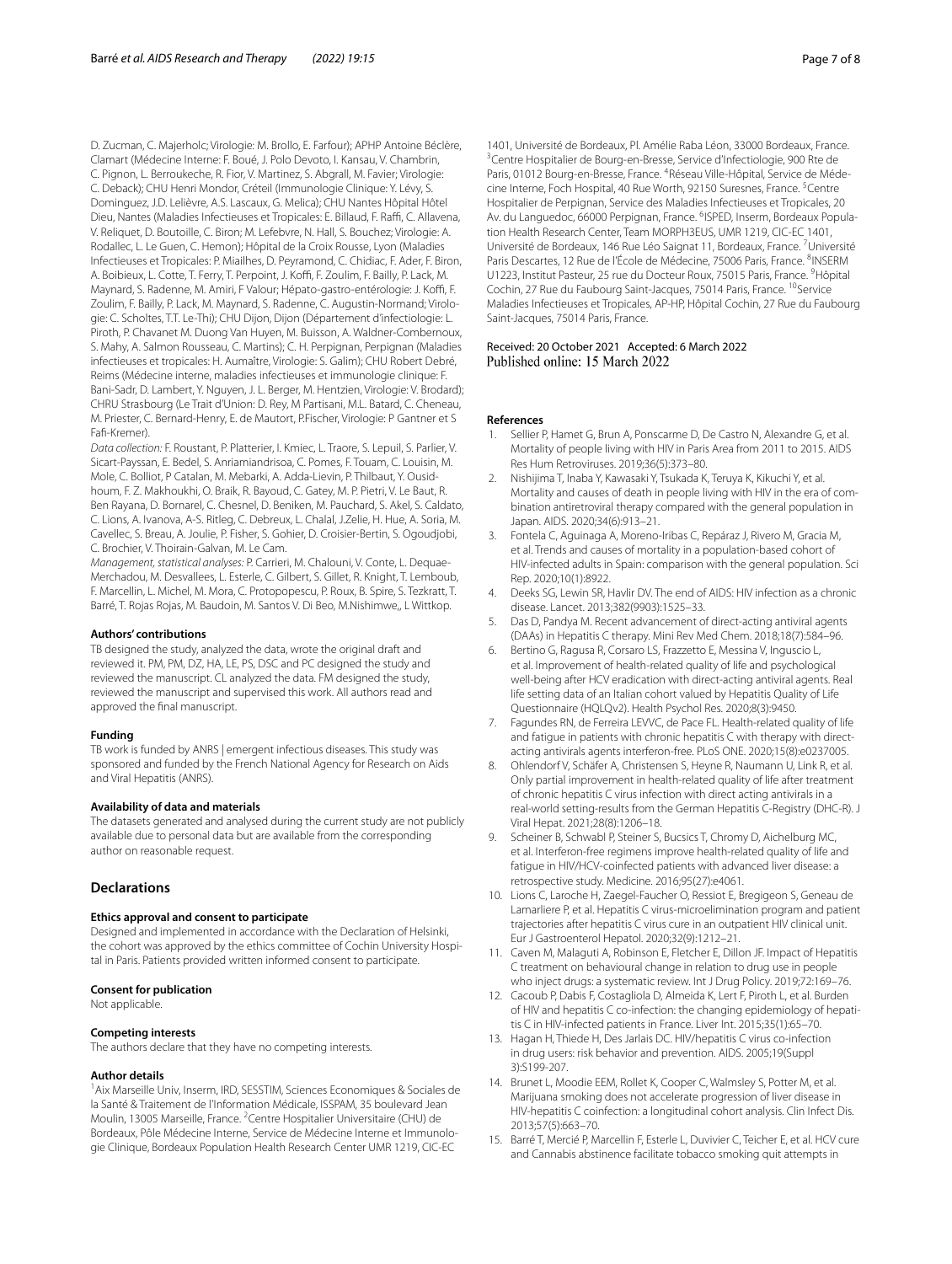D. Zucman, C. Majerholc; Virologie: M. Brollo, E. Farfour); APHP Antoine Béclère, Clamart (Médecine Interne: F. Boué, J. Polo Devoto, I. Kansau, V. Chambrin, C. Pignon, L. Berroukeche, R. Fior, V. Martinez, S. Abgrall, M. Favier; Virologie: C. Deback); CHU Henri Mondor, Créteil (Immunologie Clinique: Y. Lévy, S. Dominguez, J.D. Lelièvre, A.S. Lascaux, G. Melica); CHU Nantes Hôpital Hôtel Dieu, Nantes (Maladies Infectieuses et Tropicales: E. Billaud, F. Raffi, C. Allavena, V. Reliquet, D. Boutoille, C. Biron; M. Lefebvre, N. Hall, S. Bouchez; Virologie: A. Rodallec, L. Le Guen, C. Hemon); Hôpital de la Croix Rousse, Lyon (Maladies Infectieuses et Tropicales: P. Miailhes, D. Peyramond, C. Chidiac, F. Ader, F. Biron, A. Boibieux, L. Cotte, T. Ferry, T. Perpoint, J. Koffi, F. Zoulim, F. Bailly, P. Lack, M. Maynard, S. Radenne, M. Amiri, F Valour; Hépato-gastro-entérologie: J. Koffi, F. Zoulim, F. Bailly, P. Lack, M. Maynard, S. Radenne, C. Augustin-Normand; Virologie: C. Scholtes, T.T. Le-Thi); CHU Dijon, Dijon (Département d'infectiologie: L. Piroth, P. Chavanet M. Duong Van Huyen, M. Buisson, A. Waldner-Combernoux, S. Mahy, A. Salmon Rousseau, C. Martins); C. H. Perpignan, Perpignan (Maladies infectieuses et tropicales: H. Aumaître, Virologie: S. Galim); CHU Robert Debré, Reims (Médecine interne, maladies infectieuses et immunologie clinique: F. Bani-Sadr, D. Lambert, Y. Nguyen, J. L. Berger, M. Hentzien, Virologie: V. Brodard); CHRU Strasbourg (Le Trait d'Union: D. Rey, M Partisani, M.L. Batard, C. Cheneau, M. Priester, C. Bernard-Henry, E. de Mautort, P.Fischer, Virologie: P Gantner et S Faf-Kremer).

*Data collection:* F. Roustant, P. Platterier, I. Kmiec, L. Traore, S. Lepuil, S. Parlier, V. Sicart-Payssan, E. Bedel, S. Anriamiandrisoa, C. Pomes, F. Touam, C. Louisin, M. Mole, C. Bolliot, P Catalan, M. Mebarki, A. Adda-Lievin, P. Thilbaut, Y. Ousidhoum, F. Z. Makhoukhi, O. Braik, R. Bayoud, C. Gatey, M. P. Pietri, V. Le Baut, R. Ben Rayana, D. Bornarel, C. Chesnel, D. Beniken, M. Pauchard, S. Akel, S. Caldato, C. Lions, A. Ivanova, A-S. Ritleg, C. Debreux, L. Chalal, J.Zelie, H. Hue, A. Soria, M. Cavellec, S. Breau, A. Joulie, P. Fisher, S. Gohier, D. Croisier-Bertin, S. Ogoudjobi, C. Brochier, V. Thoirain-Galvan, M. Le Cam.

*Management, statistical analyses:* P. Carrieri, M. Chalouni, V. Conte, L. Dequae-Merchadou, M. Desvallees, L. Esterle, C. Gilbert, S. Gillet, R. Knight, T. Lemboub, F. Marcellin, L. Michel, M. Mora, C. Protopopescu, P. Roux, B. Spire, S. Tezkratt, T. Barré, T. Rojas Rojas, M. Baudoin, M. Santos V. Di Beo, M.Nishimwe,, L Wittkop.

#### **Authors' contributions**

TB designed the study, analyzed the data, wrote the original draft and reviewed it. PM, PM, DZ, HA, LE, PS, DSC and PC designed the study and reviewed the manuscript. CL analyzed the data. FM designed the study, reviewed the manuscript and supervised this work. All authors read and approved the fnal manuscript.

#### **Funding**

TB work is funded by ANRS | emergent infectious diseases. This study was sponsored and funded by the French National Agency for Research on Aids and Viral Hepatitis (ANRS).

#### **Availability of data and materials**

The datasets generated and analysed during the current study are not publicly available due to personal data but are available from the corresponding author on reasonable request.

## **Declarations**

#### **Ethics approval and consent to participate**

Designed and implemented in accordance with the Declaration of Helsinki, the cohort was approved by the ethics committee of Cochin University Hospital in Paris. Patients provided written informed consent to participate.

#### **Consent for publication**

Not applicable.

#### **Competing interests**

The authors declare that they have no competing interests.

#### **Author details**

<sup>1</sup> Aix Marseille Univ, Inserm, IRD, SESSTIM, Sciences Economiques & Sociales de la Santé & Traitement de l'Information Médicale, ISSPAM, 35 boulevard Jean Moulin, 13005 Marseille, France. <sup>2</sup> Centre Hospitalier Universitaire (CHU) de Bordeaux, Pôle Médecine Interne, Service de Médecine Interne et Immunologie Clinique, Bordeaux Population Health Research Center UMR 1219, CIC-EC

1401, Université de Bordeaux, Pl. Amélie Raba Léon, 33000 Bordeaux, France. 3 <sup>3</sup> Centre Hospitalier de Bourg-en-Bresse, Service d'Infectiologie, 900 Rte de Paris, 01012 Bourg-en-Bresse, France. <sup>4</sup>Réseau Ville-Hôpital, Service de Médecine Interne, Foch Hospital, 40 Rue Worth, 92150 Suresnes, France. <sup>5</sup>Centre Hospitalier de Perpignan, Service des Maladies Infectieuses et Tropicales, 20 Av. du Languedoc, 66000 Perpignan, France. <sup>6</sup>ISPED, Inserm, Bordeaux Population Health Research Center, Team MORPH3EUS, UMR 1219, CIC-EC 1401, Université de Bordeaux, 146 Rue Léo Saignat 11, Bordeaux, France.<sup>7</sup>Université Paris Descartes, 12 Rue de l'École de Médecine, 75006 Paris, France. <sup>8</sup>INSERM U1223, Institut Pasteur, 25 rue du Docteur Roux, 75015 Paris, France. <sup>9</sup> Hôpital Cochin, 27 Rue du Faubourg Saint-Jacques, 75014 Paris, France. <sup>10</sup>Service Maladies Infectieuses et Tropicales, AP-HP, Hôpital Cochin, 27 Rue du Faubourg Saint-Jacques, 75014 Paris, France.

#### Received: 20 October 2021 Accepted: 6 March 2022 Published online: 15 March 2022

#### **References**

- <span id="page-6-0"></span>Sellier P, Hamet G, Brun A, Ponscarme D, De Castro N, Alexandre G, et al. Mortality of people living with HIV in Paris Area from 2011 to 2015. AIDS Res Hum Retroviruses. 2019;36(5):373–80.
- 2. Nishijima T, Inaba Y, Kawasaki Y, Tsukada K, Teruya K, Kikuchi Y, et al. Mortality and causes of death in people living with HIV in the era of combination antiretroviral therapy compared with the general population in Japan. AIDS. 2020;34(6):913–21.
- <span id="page-6-1"></span>3. Fontela C, Aguinaga A, Moreno-Iribas C, Repáraz J, Rivero M, Gracia M, et al. Trends and causes of mortality in a population-based cohort of HIV-infected adults in Spain: comparison with the general population. Sci Rep. 2020;10(1):8922.
- <span id="page-6-2"></span>4. Deeks SG, Lewin SR, Havlir DV. The end of AIDS: HIV infection as a chronic disease. Lancet. 2013;382(9903):1525–33.
- <span id="page-6-3"></span>5. Das D, Pandya M. Recent advancement of direct-acting antiviral agents (DAAs) in Hepatitis C therapy. Mini Rev Med Chem. 2018;18(7):584–96.
- <span id="page-6-4"></span>6. Bertino G, Ragusa R, Corsaro LS, Frazzetto E, Messina V, Inguscio L, et al. Improvement of health-related quality of life and psychological well-being after HCV eradication with direct-acting antiviral agents. Real life setting data of an Italian cohort valued by Hepatitis Quality of Life Questionnaire (HQLQv2). Health Psychol Res. 2020;8(3):9450.
- 7. Fagundes RN, de Ferreira LEVVC, de Pace FL. Health-related quality of life and fatigue in patients with chronic hepatitis C with therapy with directacting antivirals agents interferon-free. PLoS ONE. 2020;15(8):e0237005.
- 8. Ohlendorf V, Schäfer A, Christensen S, Heyne R, Naumann U, Link R, et al. Only partial improvement in health-related quality of life after treatment of chronic hepatitis C virus infection with direct acting antivirals in a real-world setting-results from the German Hepatitis C-Registry (DHC-R). J Viral Hepat. 2021;28(8):1206–18.
- 9. Scheiner B, Schwabl P, Steiner S, Bucsics T, Chromy D, Aichelburg MC, et al. Interferon-free regimens improve health-related quality of life and fatigue in HIV/HCV-coinfected patients with advanced liver disease: a retrospective study. Medicine. 2016;95(27):e4061.
- <span id="page-6-5"></span>10. Lions C, Laroche H, Zaegel-Faucher O, Ressiot E, Bregigeon S, Geneau de Lamarliere P, et al. Hepatitis C virus-microelimination program and patient trajectories after hepatitis C virus cure in an outpatient HIV clinical unit. Eur J Gastroenterol Hepatol. 2020;32(9):1212–21.
- <span id="page-6-6"></span>11. Caven M, Malaguti A, Robinson E, Fletcher E, Dillon JF. Impact of Hepatitis C treatment on behavioural change in relation to drug use in people who inject drugs: a systematic review. Int J Drug Policy. 2019;72:169–76.
- <span id="page-6-7"></span>12. Cacoub P, Dabis F, Costagliola D, Almeida K, Lert F, Piroth L, et al. Burden of HIV and hepatitis C co-infection: the changing epidemiology of hepatitis C in HIV-infected patients in France. Liver Int. 2015;35(1):65–70.
- 13. Hagan H, Thiede H, Des Jarlais DC. HIV/hepatitis C virus co-infection in drug users: risk behavior and prevention. AIDS. 2005;19(Suppl 3):S199-207.
- <span id="page-6-9"></span>14. Brunet L, Moodie EEM, Rollet K, Cooper C, Walmsley S, Potter M, et al. Marijuana smoking does not accelerate progression of liver disease in HIV-hepatitis C coinfection: a longitudinal cohort analysis. Clin Infect Dis. 2013;57(5):663–70.
- <span id="page-6-8"></span>15. Barré T, Mercié P, Marcellin F, Esterle L, Duvivier C, Teicher E, et al. HCV cure and Cannabis abstinence facilitate tobacco smoking quit attempts in